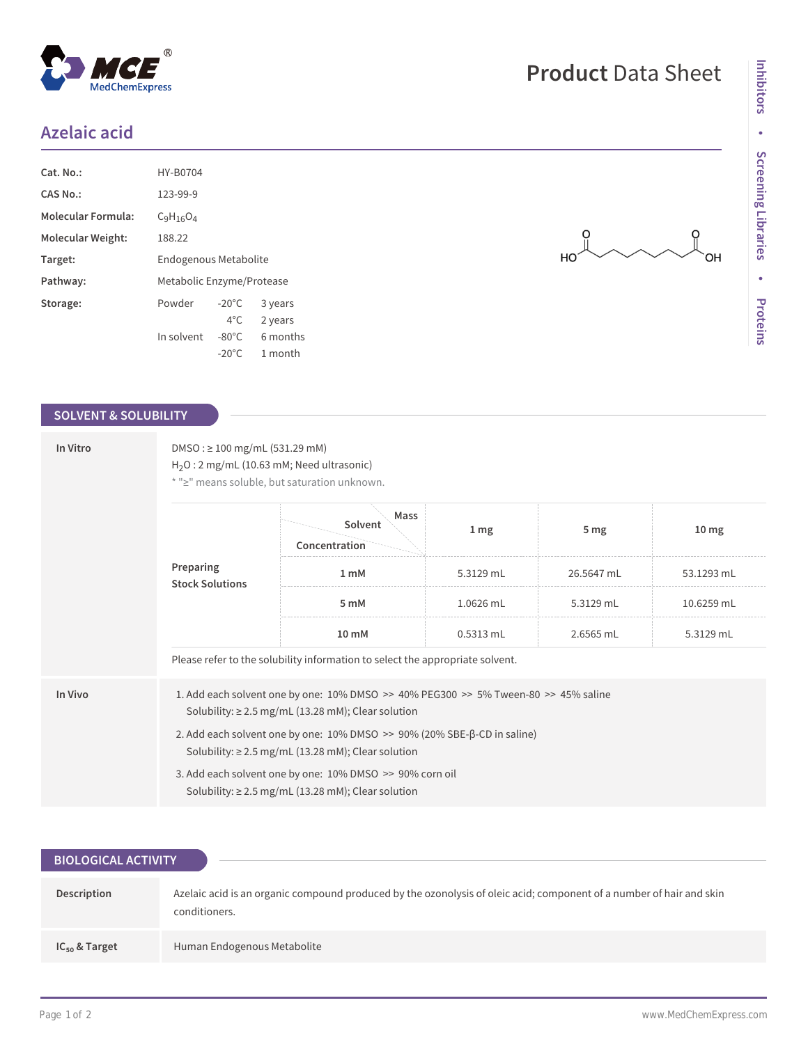## **Azelaic acid**

| Cat. No.:                 | HY-B0704                  |                 |          |  |
|---------------------------|---------------------------|-----------------|----------|--|
| CAS No.:                  | 123-99-9                  |                 |          |  |
| <b>Molecular Formula:</b> | $C_9H_{16}O_4$            |                 |          |  |
| Molecular Weight:         | 188.22                    |                 |          |  |
| Target:                   | Endogenous Metabolite     |                 |          |  |
| Pathway:                  | Metabolic Enzyme/Protease |                 |          |  |
| Storage:                  | Powder                    | $-20^{\circ}$ C | 3 years  |  |
|                           |                           | $4^{\circ}$ C   | 2 years  |  |
|                           | In solvent                | $-80^{\circ}$ C | 6 months |  |
|                           |                           | $-20^{\circ}$ C | 1 month  |  |

 $^{\circledR}$ 

MedChemExpress

## **SOLVENT & SOLUBILITY**

| In Vitro | $DMSO: \geq 100$ mg/mL (531.29 mM)<br>$H_2O: 2 mg/mL (10.63 mM; Need ultrasonic)$<br>* ">" means soluble, but saturation unknown.                 |                                  |                 |            |                  |  |  |
|----------|---------------------------------------------------------------------------------------------------------------------------------------------------|----------------------------------|-----------------|------------|------------------|--|--|
|          | Preparing<br><b>Stock Solutions</b>                                                                                                               | Mass<br>Solvent<br>Concentration | 1 <sub>mg</sub> | 5 mg       | 10 <sub>mg</sub> |  |  |
|          |                                                                                                                                                   | 1 <sub>m</sub> M                 | 5.3129 mL       | 26.5647 mL | 53.1293 mL       |  |  |
|          |                                                                                                                                                   | 5 mM                             | 1.0626 mL       | 5.3129 mL  | 10.6259 mL       |  |  |
|          |                                                                                                                                                   | 10 mM                            | $0.5313$ mL     | 2.6565 mL  | 5.3129 mL        |  |  |
|          | Please refer to the solubility information to select the appropriate solvent.                                                                     |                                  |                 |            |                  |  |  |
| In Vivo  | 1. Add each solvent one by one: 10% DMSO >> 40% PEG300 >> 5% Tween-80 >> 45% saline<br>Solubility: $\geq$ 2.5 mg/mL (13.28 mM); Clear solution    |                                  |                 |            |                  |  |  |
|          | 2. Add each solvent one by one: $10\%$ DMSO $\gg$ 90% (20% SBE- $\beta$ -CD in saline)<br>Solubility: $\geq$ 2.5 mg/mL (13.28 mM); Clear solution |                                  |                 |            |                  |  |  |
|          | 3. Add each solvent one by one: 10% DMSO >> 90% corn oil<br>Solubility: $\geq$ 2.5 mg/mL (13.28 mM); Clear solution                               |                                  |                 |            |                  |  |  |

| <b>BIOLOGICAL ACTIVITY</b> |                                                                                                                                       |  |  |  |  |
|----------------------------|---------------------------------------------------------------------------------------------------------------------------------------|--|--|--|--|
| Description                | Azelaic acid is an organic compound produced by the ozonolysis of oleic acid; component of a number of hair and skin<br>conditioners. |  |  |  |  |
| $IC_{50}$ & Target         | Human Endogenous Metabolite                                                                                                           |  |  |  |  |

## **Product** Data Sheet

 $rac{1}{\sqrt{1}}$ 

 $\int$ OH